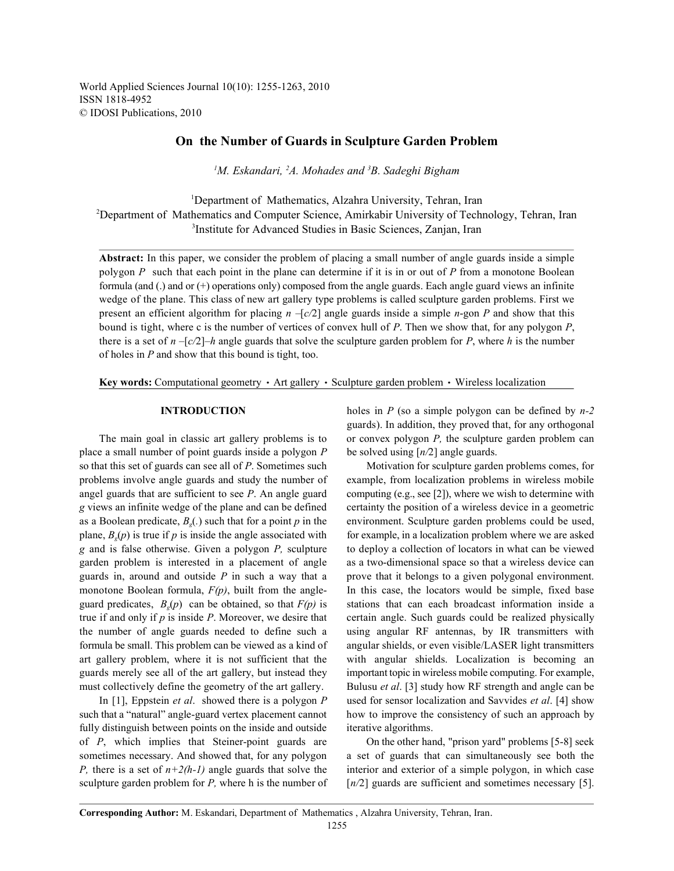World Applied Sciences Journal 10(10): 1255-1263, 2010 ISSN 1818-4952 © IDOSI Publications, 2010

# **On the Number of Guards in Sculpture Garden Problem**

<sup>1</sup>M. Eskandari, <sup>2</sup>A. Mohades and <sup>3</sup>B. Sadeghi Bigham

<sup>1</sup>Department of Mathematics, Alzahra University, Tehran, Iran <sup>2</sup>Department of Mathematics and Computer Science, Amirkabir University of Technology, Tehran, Iran <sup>3</sup>Institute for Advanced Studies in Basic Sciences, Zanjan, Iran

**Abstract:** In this paper, we consider the problem of placing a small number of angle guards inside a simple polygon *P* such that each point in the plane can determine if it is in or out of *P* from a monotone Boolean formula (and (.) and or (+) operations only) composed from the angle guards. Each angle guard views an infinite wedge of the plane. This class of new art gallery type problems is called sculpture garden problems. First we present an efficient algorithm for placing *n –*[*c/*2] angle guards inside a simple *n*-gon *P* and show that this bound is tight, where c is the number of vertices of convex hull of *P*. Then we show that, for any polygon *P*, there is a set of  $n - [c/2]$ –*h* angle guards that solve the sculpture garden problem for *P*, where *h* is the number of holes in *P* and show that this bound is tight, too.

**Key words:** Computational geometry • Art gallery • Sculpture garden problem • Wireless localization

place a small number of point guards inside a polygon *P* be solved using [*n/*2] angle guards. so that this set of guards can see all of *P*. Sometimes such Motivation for sculpture garden problems comes, for problems involve angle guards and study the number of example, from localization problems in wireless mobile angel guards that are sufficient to see  $P$ . An angle guard computing (e.g., see [2]), where we wish to determine with *g* views an infinite wedge of the plane and can be defined certainty the position of a wireless device in a geometric as a Boolean predicate,  $B<sub>e</sub>(.)$  such that for a point *p* in the environment. Sculpture garden problems could be used, plane,  $B_g(p)$  is true if p is inside the angle associated with for example, in a localization problem where we are asked *g* and is false otherwise. Given a polygon *P,* sculpture to deploy a collection of locators in what can be viewed garden problem is interested in a placement of angle as a two-dimensional space so that a wireless device can guards in, around and outside *P* in such a way that a prove that it belongs to a given polygonal environment. monotone Boolean formula,  $F(p)$ , built from the angle- In this case, the locators would be simple, fixed base guard predicates,  $B_g(p)$  can be obtained, so that  $F(p)$  is stations that can each broadcast information inside a true if and only if  $p$  is inside  $P$ . Moreover, we desire that certain angle. Such guards could be realized physically the number of angle guards needed to define such a using angular RF antennas, by IR transmitters with formula be small. This problem can be viewed as a kind of angular shields, or even visible/LASER light transmitters art gallery problem, where it is not sufficient that the with angular shields. Localization is becoming an guards merely see all of the art gallery, but instead they important topic in wireless mobile computing. For example, must collectively define the geometry of the art gallery. Bulusu *et al*. [3] study how RF strength and angle can be

such that a "natural" angle-guard vertex placement cannot how to improve the consistency of such an approach by fully distinguish between points on the inside and outside iterative algorithms. of *P*, which implies that Steiner-point guards are On the other hand, "prison yard" problems [5-8] seek sometimes necessary. And showed that, for any polygon a set of guards that can simultaneously see both the *P,* there is a set of *n+2(h-1)* angle guards that solve the interior and exterior of a simple polygon, in which case sculpture garden problem for *P*, where h is the number of  $[n/2]$  guards are sufficient and sometimes necessary [5].

**INTRODUCTION** holes in *P* (so a simple polygon can be defined by *n-2* The main goal in classic art gallery problems is to or convex polygon *P*, the sculpture garden problem can guards). In addition, they proved that, for any orthogonal

In [1], Eppstein *et al*. showed there is a polygon *P* used for sensor localization and Savvides *et al*. [4] show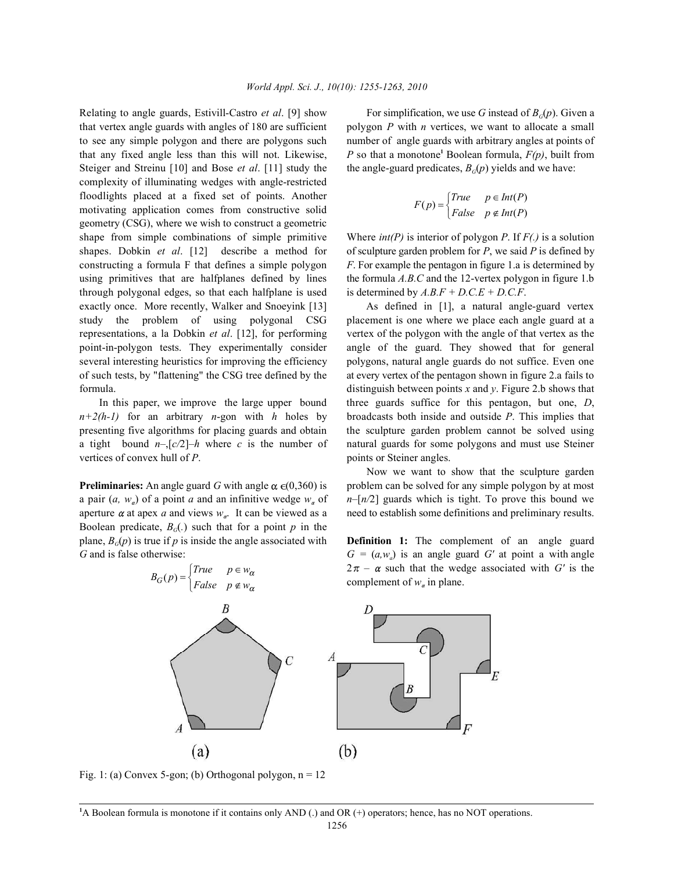that vertex angle guards with angles of 180 are sufficient polygon *P* with *n* vertices, we want to allocate a small to see any simple polygon and there are polygons such number of angle guards with arbitrary angles at points of that any fixed angle less than this will not. Likewise,  $P$  so that a monotone<sup>1</sup> Boolean formula,  $F(p)$ , built from Steiger and Streinu [10] and Bose *et al.* [11] study the complexity of illuminating wedges with angle-restricted floodlights placed at a fixed set of points. Another motivating application comes from constructive solid geometry (CSG), where we wish to construct a geometric shape from simple combinations of simple primitive Where *int(P)* is interior of polygon *P*. If *F(.)* is a solution shapes. Dobkin *et al.* [12] describe a method for of sculpture garden problem for *P*, we said *P* is defined by constructing a formula F that defines a simple polygon *F*. For example the pentagon in figure 1.a is determined by using primitives that are halfplanes defined by lines the formula *A.B.C* and the 12-vertex polygon in figure 1.b through polygonal edges, so that each halfplane is used is determined by  $A.B.F + D.C.E + D.C.F$ . exactly once. More recently, Walker and Snoeyink [13] As defined in [1], a natural angle-guard vertex study the problem of using polygonal CSG placement is one where we place each angle guard at a representations, a la Dobkin *et al*. [12], for performing vertex of the polygon with the angle of that vertex as the point-in-polygon tests. They experimentally consider angle of the guard. They showed that for general several interesting heuristics for improving the efficiency polygons, natural angle guards do not suffice. Even one of such tests, by "flattening" the CSG tree defined by the at every vertex of the pentagon shown in figure 2.a fails to formula. distinguish between points *x* and *y*. Figure 2.b shows that

*n+2(h-1)* for an arbitrary *n*-gon with *h* holes by broadcasts both inside and outside *P*. This implies that presenting five algorithms for placing guards and obtain the sculpture garden problem cannot be solved using a tight bound  $n-[c/2]-h$  where c is the number of natural guards for some polygons and must use Steiner vertices of convex hull of *P*. points or Steiner angles.

a pair  $(a, w_{\alpha})$  of a point *a* and an infinitive wedge  $w_{\alpha}$  of  $n-[n/2]$  guards which is tight. To prove this bound we aperture  $\alpha$  at apex  $\alpha$  and views  $w_{\alpha}$ . It can be viewed as a need to establish some definitions and preliminary results. Boolean predicate,  $B_G(.)$  such that for a point p in the plane,  $B_G(p)$  is true if p is inside the angle associated with **Definition 1:** The complement of an angle guard *G* and is false otherwise:  $G = (a, w_a)$  is an angle guard *G'* at point a with angle

Relating to angle guards, Estivill-Castro *et al*. [9] show For simplification, we use *G* instead of *B* (*p*). Given a *G* the angle-guard predicates,  $B_G(p)$  yields and we have:

$$
F(p) = \begin{cases} True & p \in Int(P) \\ False & p \notin Int(P) \end{cases}
$$

In this paper, we improve the large upper bound three guards suffice for this pentagon, but one, *D*,

**Preliminaries:** An angle guard G with angle  $\alpha \in (0,360)$  is problem can be solved for any simple polygon by at most Now we want to show that the sculpture garden



Fig. 1: (a) Convex 5-gon; (b) Orthogonal polygon,  $n = 12$ 

<sup>1</sup>A Boolean formula is monotone if it contains only AND (.) and OR (+) operators; hence, has no NOT operations.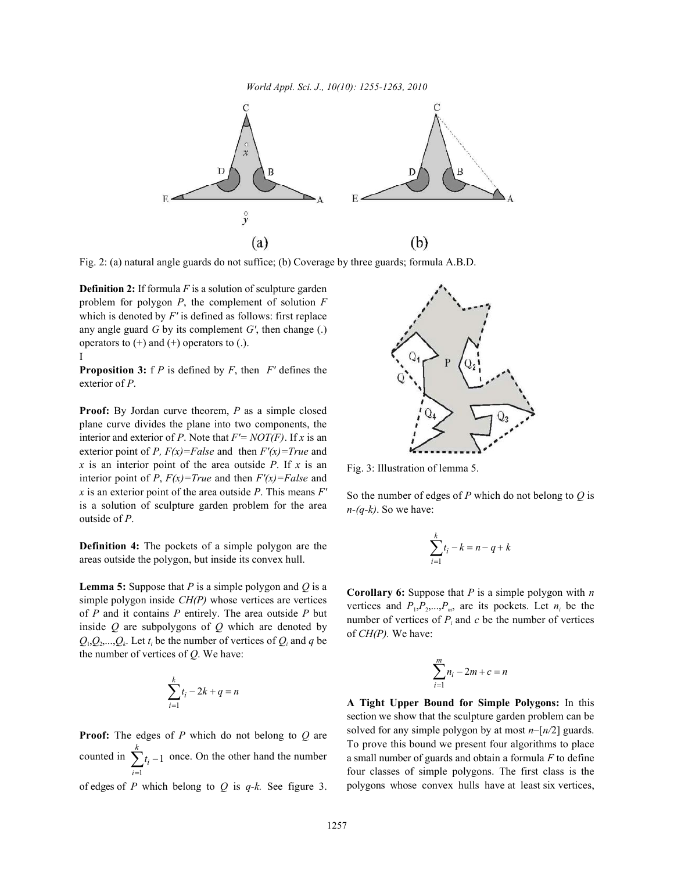

Fig. 2: (a) natural angle guards do not suffice; (b) Coverage by three guards; formula A.B.D.

**Definition 2:** If formula *F* is a solution of sculpture garden problem for polygon *P*, the complement of solution *F* which is denoted by *F'* is defined as follows: first replace any angle guard *G* by its complement *G'*, then change (.) operators to  $(+)$  and  $(+)$  operators to  $(.)$ . I

**Proposition 3:** f *P* is defined by *F*, then *F'* defines the exterior of *P*.

**Proof:** By Jordan curve theorem, *P* as a simple closed plane curve divides the plane into two components, the interior and exterior of *P*. Note that *F'= NOT(F)*. If *x* is an exterior point of *P*,  $F(x) = False$  and then  $F'(x) = True$  and *x* is an interior point of the area outside *P*. If *x* is an interior point of *P*,  $F(x) = True$  and then  $F'(x) = False$  and *x* is an exterior point of the area outside *P*. This means *F'* is a solution of sculpture garden problem for the area outside of *P*.

**Definition 4:** The pockets of a simple polygon are the areas outside the polygon, but inside its convex hull.

**Lemma 5:** Suppose that *P* is a simple polygon and *Q* is a simple polygon inside *CH(P)* whose vertices are vertices of *P* and it contains *P* entirely. The area outside *P* but inside *Q* are subpolygons of *Q* which are denoted by  $Q_1, Q_2, \ldots, Q_k$ . Let  $t_i$  be the number of vertices of  $Q_i$  and  $q$  be the number of vertices of *Q*. We have:

$$
\sum_{i=1}^{k} t_i - 2k + q = n
$$

1 1 *k i i t* counted in  $\sum_{i=1}^{n} t_i - 1$  once. On the other hand the number **Proof:** The edges of *P* which do not belong to *Q* are

of edges of *P* which belong to *Q* is *q-k.* See figure 3.



Fig. 3: Illustration of lemma 5.

So the number of edges of *P* which do not belong to *Q* is *n-(q-k)*. So we have:

$$
\sum_{i=1}^{k} t_i - k = n - q + k
$$

**Corollary 6:** Suppose that *P* is a simple polygon with *n* vertices and  $P_1, P_2, \ldots, P_m$ , are its pockets. Let  $n_i$  be the number of vertices of  $P_i$  and  $c$  be the number of vertices of *CH(P).* We have:

$$
\sum_{i=1}^{m} n_i - 2m + c = n
$$

**A Tight Upper Bound for Simple Polygons:** In this section we show that the sculpture garden problem can be solved for any simple polygon by at most *n–*[*n/*2] guards. To prove this bound we present four algorithms to place a small number of guards and obtain a formula *F* to define four classes of simple polygons. The first class is the polygons whose convex hulls have at least six vertices,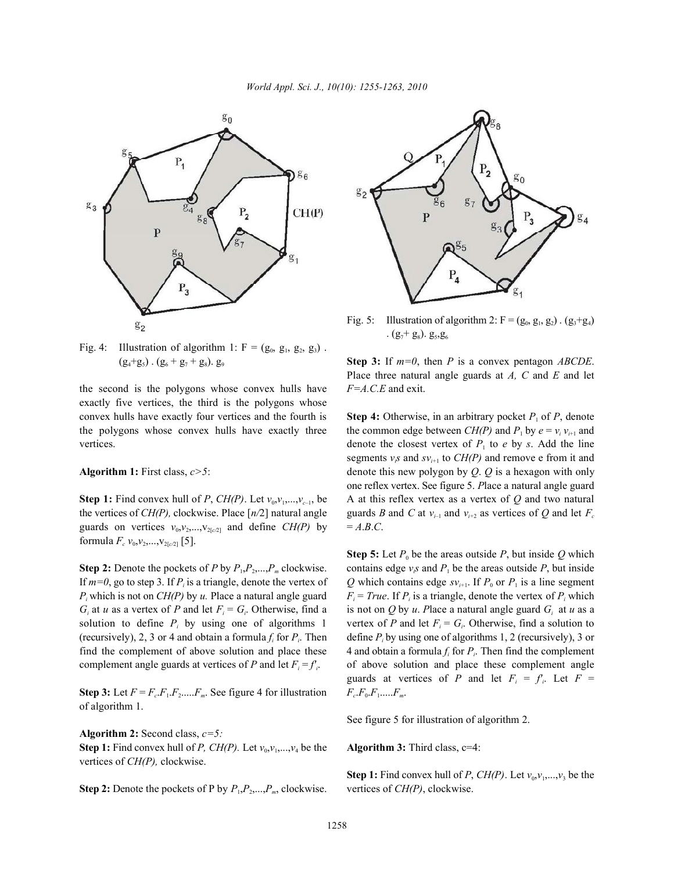## *World Appl. Sci. J., 10(10): 1255-1263, 2010*



Fig. 4: Illustration of algorithm 1:  $F = (g_0, g_1, g_2, g_3)$ .

the second is the polygons whose convex hulls have *F=A.C.E* and exit. exactly five vertices, the third is the polygons whose convex hulls have exactly four vertices and the fourth is **Step 4:** Otherwise, in an arbitrary pocket  $P_1$  of  $P$ , denote the polygons whose convex hulls have exactly three the common edge between  $CH(P)$  and  $P_1$  by  $e = v_i v_{i+1}$  and

the vertices of *CH(P)*, clockwise. Place  $[n/2]$  natural angle guards *B* and *C* at  $v_{i-1}$  and  $v_{i+2}$  as vertices of *Q* and let  $F_c$ guards on vertices  $v_0$ ,  $v_2$ ,  $v_{\text{2}(\alpha/2)}$  and define *CH(P)* by = *A.B.C.* formula  $F_c$   $v_0$ ,  $v_2$ , ...,  $v_{2[c/2]}$  [5].

If  $m=0$ , go to step 3. If  $P_i$  is a triangle, denote the vertex of  $Q$  which contains edge  $sv_{i+1}$ . If  $P_0$  or  $P_1$  is a line segment  $P_i$  which is not on  $CH(P)$  by u. Place a natural angle guard  $G_i$  at *u* as a vertex of *P* and let  $F_i = G_i$ . Otherwise, find a solution to define  $P_i$  by using one of algorithms 1 (recursively), 2, 3 or 4 and obtain a formula  $f_i$  for  $P_i$ . Then define  $P_i$  by using one of algorithms 1, 2 (recursively), 3 or find the complement of above solution and place these  $\frac{4}{3}$  and obtain a formula  $f_i$  for  $P_i$ . Then find the complement

**Step 3:** Let  $F = F_c \cdot F_1 \cdot F_2 \cdot \ldots \cdot F_m$ . See figure 4 for illustration of algorithm 1.

**Algorithm 2:** Second class, *c=5:* **Step 1:** Find convex hull of *P, CH(P)*. Let  $v_0, v_1, \ldots, v_4$  be the **Algorithm 3:** Third class, c=4: vertices of *CH(P),* clockwise.

**Step 2:** Denote the pockets of P by  $P_1, P_2, ..., P_m$ , clockwise. vertices of  $CH(P)$ , clockwise.



Fig. 5: Illustration of algorithm 2:  $F = (g_0, g_1, g_2) \cdot (g_3 + g_4)$ .  $(g_7 + g_8)$ .  $g_5, g_6$ 

 $(g_4+g_5)$ .  $(g_6+g_7+g_8)$ .  $g_9$  Step 3: If  $m=0$ , then *P* is a convex pentagon *ABCDE*. Place three natural angle guards at *A, C* and *E* and let

vertices.  $\blacksquare$  denote the closest vertex of  $P_1$  to *e* by *s*. Add the line **Algorithm 1:** First class, *c>5*: denote this new polygon by *Q*. *Q* is a hexagon with only **Step 1:** Find convex hull of *P*, *CH(P)*. Let  $v_0, v_1, ..., v_{c-1}$ , be A at this reflex vertex as a vertex of *Q* and two natural segments  $v_i$ s and  $s v_{i+1}$  to  $CH(P)$  and remove e from it and one reflex vertex. See figure 5. *P*lace a natural angle guard

**Step 2:** Denote the pockets of *P* by  $P_1, P_2, \ldots, P_m$  clockwise. contains edge  $v_i$ s and  $P_1$  be the areas outside *P*, but inside which is not on *CH(P)* by *u*. Place a natural angle guard  $F_i = True$ . If  $P_i$  is a triangle, denote the vertex of  $P_i$  which at *u* as a vertex of *P* and let  $F_i = G_i$ . Otherwise, find a is not on *Q* by *u*. *Place a natural angle guard*  $G_i$  *at <i>u* as a by using one of algorithms 1 vertex of *P* and let  $F_i = G_i$ . Otherwise, find a solution to complement angle guards at vertices of *P* and let  $F_i = f_i$ . of above solution and place these complement angle **Step 5:** Let  $P_0$  be the areas outside  $P$ , but inside  $Q$  which guards at vertices of *P* and let  $F_i = f_i$ . Let  $F =$  $F_c F_0 F_1 \dots F_m$ .

See figure 5 for illustration of algorithm 2.

**Step 1:** Find convex hull of *P*,  $CH(P)$ . Let  $v_0, v_1, \ldots, v_3$  be the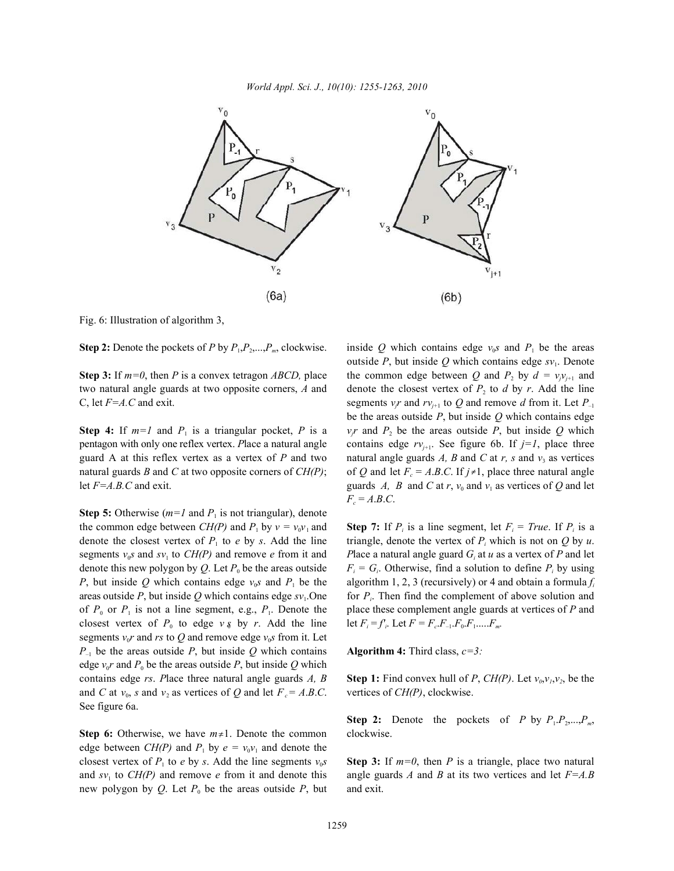

Fig. 6: Illustration of algorithm 3,

**Step 2:** Denote the pockets of *P* by  $P_1, P_2, \ldots, P_m$ , clockwise.

two natural angle guards at two opposite corners, A and denote the closest vertex of  $P_2$  to  $d$  by  $r$ . Add the line

**Step 5:** Otherwise ( $m=1$  and  $P_1$  is not triangular), denote the common edge between *CH(P)* and  $P_1$  by  $v = v_0v_1$  and **Step 7:** If  $P_i$  is a line segment, let  $F_i = True$ . If  $P_i$  is a denote the closest vertex of  $P_1$  to  $e$  by  $s$ . Add the line *P*, but inside *Q* which contains edge  $v_0$  and  $P_1$  be the of  $P_0$  or  $P_1$  is not a line segment, e.g.,  $P_1$ . Denote the place these complement angle guards at vertices of *P* and closest vertex of  $P_0$  to edge  $v \, \hat{\phi}$  by *r*. Add the line segments  $v_0 r$  and rs to Q and remove edge  $v_0 s$  from it. Let  $P_{-1}$  be the areas outside *P*, but inside *Q* which contains **Algorithm 4:** Third class,  $c=3$ : edge  $v_0 r$  and  $P_0$  be the areas outside  $P$ , but inside  $Q$  which contains edge *rs*. Place three natural angle guards *A*, *B* **Step 1:** Find convex hull of *P*,  $CH(P)$ . Let  $v_0, v_1, v_2$ , be the and *C* at  $v_0$ , *s* and  $v_2$  as vertices of *Q* and let  $F_c = A.B.C.$  vertices of *CH(P)*, clockwise. See figure 6a.

**Step 6:** Otherwise, we have  $m \neq 1$ . Denote the common clockwise. edge between *CH(P)* and  $P_1$  by  $e = v_0 v_1$  and denote the closest vertex of  $P_1$  to *e* by *s*. Add the line segments  $v_0$ s Step 3: If  $m=0$ , then *P* is a triangle, place two natural and  $sv_1$  to *CH(P)* and remove *e* from it and denote this angle guards *A* and *B* at its two vertices and let  $F=A.B$ new polygon by  $Q$ . Let  $P_0$  be the areas outside  $P$ , but and exit.

**Step 3:** If  $m=0$ , then *P* is a convex tetragon *ABCD*, place the common edge between *Q* and  $P_2$  by  $d = v_j v_{j+1}$  and C, let *F*=*A*.C and exit. segments *v<sub>j</sub>* and *rv*<sub>*j*+1</sub> to *Q* and remove *d* from it. Let *P*<sub>-1</sub> **Step 4:** If  $m=1$  and  $P_1$  is a triangular pocket, P is a  $v_j r$  and  $P_2$  be the areas outside P, but inside Q which pentagon with only one reflex vertex. Place a natural angle contains edge  $rv_{j+1}$ . See figure 6b. If  $j=1$ , place three guard A at this reflex vertex as a vertex of P and two natural angle guards A, B and C at r, s and  $v_3$  as vertices natural guards *B* and *C* at two opposite corners of *CH(P)*; of *Q* and let  $F_c = A.B.C.$  If  $j \neq 1$ , place three natural angle let *F*=*A.B.C* and exit. guards *A, B* and *C* at *r*,  $v_0$  and  $v_1$  as vertices of *Q* and let inside Q which contains edge  $v_0s$  and  $P_1$  be the areas outside  $P$ , but inside  $Q$  which contains edge  $sv_1$ . Denote be the areas outside *P*, but inside *Q* which contains edge  $F_c = A.B.C.$ 

segments  $v_0$ s and  $sv_1$  to  $CH(P)$  and remove *e* from it and *Place a natural angle guard*  $G_i$  *at <i>u* as a vertex of *P* and let denote this new polygon by Q. Let  $P_0$  be the areas outside  $F_i = G_i$ . Otherwise, find a solution to define  $P_i$  by using areas outside P, but inside Q which contains edge  $sv_1$ . One for  $P_i$ . Then find the complement of above solution and triangle, denote the vertex of  $P_i$ , which is not on  $Q$  by  $u$ . algorithm 1, 2, 3 (recursively) or 4 and obtain a formula  $f_i$ let  $F_i = f_i$ . Let  $F = F_c$ .  $F_{-1}$ .  $F_0$ .  $F_1$ . . . . .  $F_m$ .

**Step 2:** Denote the pockets of *P* by  $P_1 \cdot P_2 \cdot \ldots \cdot P_m$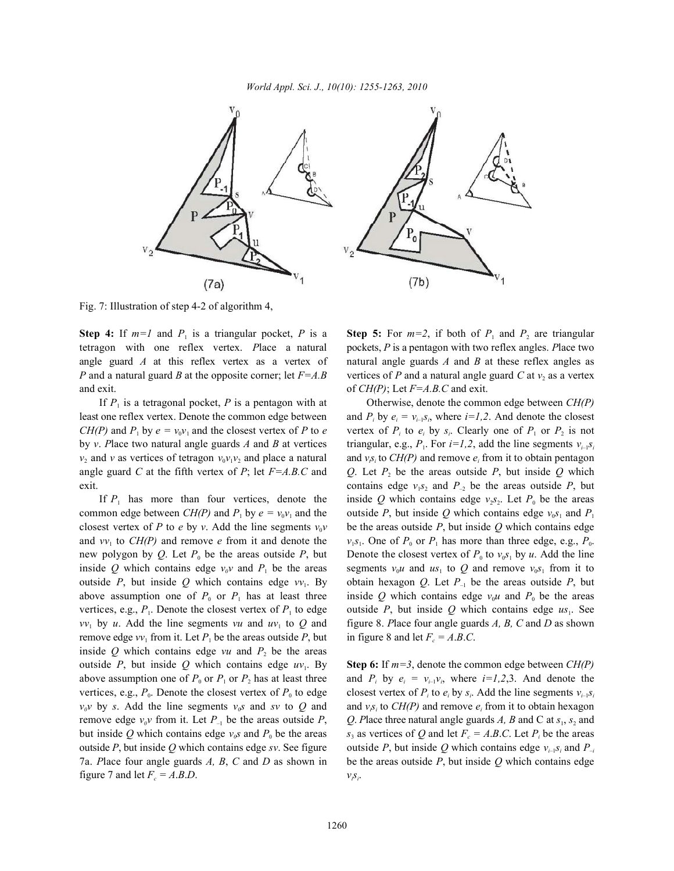

Fig. 7: Illustration of step 4-2 of algorithm 4,

tetragon with one reflex vertex. *P*lace a natural pockets, *P* is a pentagon with two reflex angles. *P*lace two angle guard *A* at this reflex vertex as a vertex of natural angle guards *A* and *B* at these reflex angles as *P* and a natural guard *B* at the opposite corner; let  $F=A.B$  vertices of *P* and a natural angle guard *C* at  $v_2$  as a vertex and exit.  $\text{of } CH(P)$ ; Let  $F=A, B, C$  and exit.

If  $P_1$  is a tetragonal pocket,  $P$  is a pentagon with at Otherwise, denote the common edge between  $CH(P)$ 

closest vertex of *P* to *e* by *v*. Add the line segments  $v_0v$  be the areas outside *P*, but inside *Q* which contains edge  $vv_1$  by *u*. Add the line segments *vu* and  $uv_1$  to *Q* and figure 8. *Place four angle guards A, B, C and D as shown* remove edge  $vv_1$  from it. Let  $P_1$  be the areas outside  $P$ , but inside  $Q$  which contains edge  $vu$  and  $P_2$  be the areas outside *P*, but inside *Q* which contains edge  $uv_1$ . By Step 6: If  $m=3$ , denote the common edge between  $CH(P)$ above assumption one of  $P_0$  or  $P_1$  or  $P_2$  has at least three and  $P_i$  by  $e_i = v_{i-1}v_i$ , where  $i=1,2,3$ . And denote the vertices, e.g.,  $P_0$ . Denote the closest vertex of  $P_0$  to edge closest vertex of  $P_i$  to  $e_i$  by  $s_i$ . Add the line segments  $v_{i-1}s_i$  $v_0 v$  by *s*. Add the line segments  $v_0 s$  and *sv* to Q and and  $v_0 s_1$  to CH(P) and remove  $e_i$  from it to obtain hexagon remove edge  $v_0v$  from it. Let  $P_{-1}$  be the areas outside  $P$ ,  $Q$ . Place three natural angle guards *A*, *B* and C at  $s_1$ ,  $s_2$  and but inside Q which contains edge  $v_{\phi}$ s and  $P_0$  be the areas  $s_3$  as vertices of Q and let  $F_c = A.B.C.$  Let  $P_i$  be the areas outside  $P$ , but inside  $Q$  which contains edge *sv*. See figure 7a. *P*lace four angle guards *A, B*, *C* and *D* as shown in be the areas outside *P*, but inside *Q* which contains edge figure 7 and let  $F_c = A.B.D$ .

**Step 4:** If  $m=1$  and  $P_1$  is a triangular pocket, P is a **Step 5:** For  $m=2$ , if both of  $P_1$  and  $P_2$  are triangular

least one reflex vertex. Denote the common edge between and  $P_i$  by  $e_i = v_{i-1} s_i$ , where  $i=1,2$ . And denote the closest *CH(P)* and  $P_1$  by  $e = v_0 v_1$  and the closest vertex of *P* to *e* vertex of  $P_i$  to  $e_i$  by  $s_i$ . Clearly one of  $P_1$  or  $P_2$  is not by *v*. Place two natural angle guards A and B at vertices triangular, e.g.,  $P_1$ . For  $i=1,2$ , add the line segments  $v_{i-1}s_i$  $v_2$  and *v* as vertices of tetragon  $v_0v_1v_2$  and place a natural and  $v_0$  to *CH(P)* and remove  $e_i$  from it to obtain pentagon angle guard *C* at the fifth vertex of *P*; let  $F = A.B.C$  and *Q*. Let  $P_2$  be the areas outside *P*, but inside *Q* which exit. contains edge  $v_1 s_2$  and  $P_{-2}$  be the areas outside *P*, but If  $P_1$  has more than four vertices, denote the inside *Q* which contains edge  $v_2$ , Let  $P_0$  be the areas common edge between  $CH(P)$  and  $P_1$  by  $e = v_0 v_1$  and the outside P, but inside Q which contains edge  $v_0 s_1$  and  $P_1$ and  $vv_1$  to  $CH(P)$  and remove *e* from it and denote the  $v_1s_1$ . One of  $P_0$  or  $P_1$  has more than three edge, e.g.,  $P_0$ . new polygon by Q. Let  $P_0$  be the areas outside P, but Denote the closest vertex of  $P_0$  to  $v_0 s_1$  by u. Add the line inside Q which contains edge  $v_0 v$  and  $P_1$  be the areas segments  $v_0 u$  and  $u s_1$  to Q and remove  $v_0 s_1$  from it to outside *P*, but inside *Q* which contains edge  $vv_1$ . By obtain hexagon *Q*. Let  $P_{-1}$  be the areas outside *P*, but above assumption one of  $P_0$  or  $P_1$  has at least three inside Q which contains edge  $v_0u$  and  $P_0$  be the areas vertices, e.g.,  $P_1$ . Denote the closest vertex of  $P_1$  to edge outside  $P_2$ , but inside  $Q$  which contains edge  $us_1$ . See in figure 8 and let  $F_c = A.B.C.$ 

> outside P, but inside Q which contains edge  $v_{i-1} s_i$  and P<sub>-i</sub>  $v_i s_i$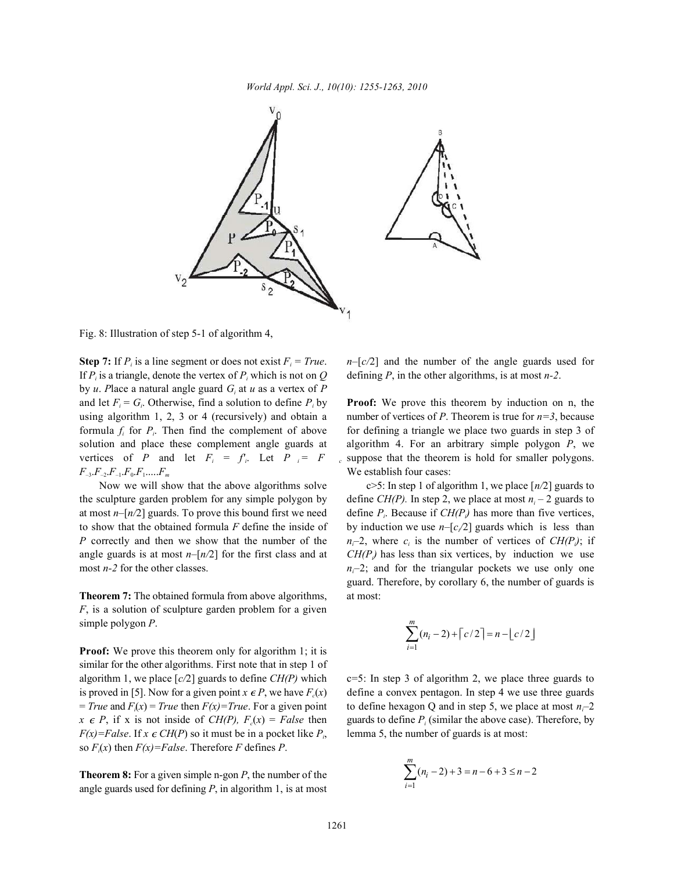

Fig. 8: Illustration of step 5-1 of algorithm 4,

If  $P_i$  is a triangle, denote the vertex of  $P_i$  which is not on  $Q$  defining  $P$ , in the other algorithms, is at most *n*-2. by *u*. Place a natural angle guard  $G_i$  at *u* as a vertex of P and let  $F_i = G_i$ . Otherwise, find a solution to define  $P_i$  by using algorithm 1, 2, 3 or 4 (recursively) and obtain a number of vertices of *P*. Theorem is true for  $n=3$ , because formula  $f_i$  for  $P_i$ . Then find the complement of above for defining a triangle we place two guards in step 3 of solution and place these complement angle guards at algorithm 4. For an arbitrary simple polygon *P*, we vertices of *P* and let  $F_i = f_i$ . Let  $P_i = F$  a suppose that the theorem is hold for smaller polygons.  $F_{-3}F_{-2}F_{-1}F_{0}F_{1}...F_{m}$  We establish four cases:

the sculpture garden problem for any simple polygon by define  $CH(P)$ . In step 2, we place at most  $n_i - 2$  guards to at most  $n-[n/2]$  guards. To prove this bound first we need define  $P_i$ . Because if  $CH(P_i)$  has more than five vertices, to show that the obtained formula *F* define the inside of by induction we use  $n-[c/2]$  guards which is less than *P* correctly and then we show that the number of the  $n_i$ –2, where  $c_i$  is the number of vertices of  $CH(P_i)$ ; if angle guards is at most  $n-[n/2]$  for the first class and at  $CH(P_i)$  has less than six vertices, by induction we use

**Theorem 7:** The obtained formula from above algorithms, at most: *F*, is a solution of sculpture garden problem for a given simple polygon *P*.

**Proof:** We prove this theorem only for algorithm 1; it is similar for the other algorithms. First note that in step 1 of algorithm 1, we place  $[c/2]$  guards to define *CH(P)* which c=5: In step 3 of algorithm 2, we place three guards to is proved in [5]. Now for a given point  $x \in P$ , we have  $F(x)$  define a convex pentagon. In step 4 we use three guards  $= True$  and  $F(x) = True$  then  $F(x)=True$ . For a given point  $x \in P$ , if x is not inside of *CH(P)*,  $F_c(x) = False$  then guards to define  $P_i$  (similar the above case). Therefore, by  $F(x) = False$ . If  $x \in CH(P)$  so it must be in a pocket like  $P_i$ , lemma 5, the number of guards is at most: so  $F(x)$  then  $F(x) = False$ . Therefore *F* defines *P*.

**Theorem 8:** For a given simple n-gon *P*, the number of the angle guards used for defining *P*, in algorithm 1, is at most

**Step 7:** If  $P_i$  is a line segment or does not exist  $F_i = True$ .  $n-[c/2]$  and the number of the angle guards used for

**Proof:** We prove this theorem by induction on n, the

Now we will show that the above algorithms solve  $c > 5$ : In step 1 of algorithm 1, we place  $\lfloor n/2 \rfloor$  guards to most *n*-2 for the other classes.  $n_f$ –2; and for the triangular pockets we use only one guard. Therefore, by corollary 6, the number of guards is

$$
\sum_{i=1}^{m} (n_i - 2) + \lceil c/2 \rceil = n - \lfloor c/2 \rfloor
$$

 $f(x) = True$  then  $F(x) = True$ . For a given point to define hexagon Q and in step 5, we place at most  $n_i-2$ 

$$
\sum_{i=1}^{m} (n_i - 2) + 3 = n - 6 + 3 \le n - 2
$$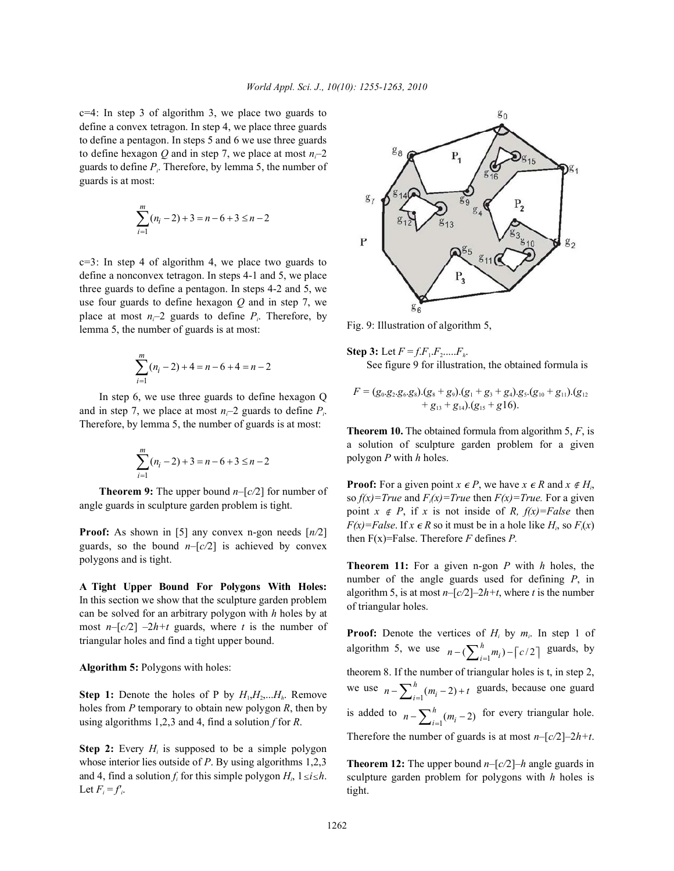$c=4$ : In step 3 of algorithm 3, we place two guards to define a convex tetragon. In step 4, we place three guards to define a pentagon. In steps 5 and 6 we use three guards to define hexagon *Q* and in step 7, we place at most  $n-2$ guards to define *P*. Therefore, by lemma 5, the number of *<sup>i</sup>* guards is at most:

$$
\sum_{i=1}^{m} (n_i - 2) + 3 = n - 6 + 3 \le n - 2
$$

 $c=3$ : In step 4 of algorithm 4, we place two guards to define a nonconvex tetragon. In steps 4-1 and 5, we place three guards to define a pentagon. In steps 4-2 and 5, we use four guards to define hexagon *Q* and in step 7, we place at most  $n-2$  guards to define  $P_i$ . Therefore, by lemma 5, the number of guards is at most:

$$
\sum_{i=1}^{m} (n_i - 2) + 4 = n - 6 + 4 = n - 2
$$

In step 6, we use three guards to define hexagon Q and in step 7, we place at most  $n_i$ –2 guards to define  $P_i$ . Therefore, by lemma 5, the number of guards is at most:

$$
\sum_{i=1}^{m} (n_i - 2) + 3 = n - 6 + 3 \le n - 2
$$

**Theorem 9:** The upper bound *n–*[*c/*2] for number of angle guards in sculpture garden problem is tight.

**Proof:** As shown in [5] any convex n-gon needs [*n/*2] guards, so the bound  $n-[c/2]$  is achieved by convex polygons and is tight.

**A Tight Upper Bound For Polygons With Holes:** In this section we show that the sculpture garden problem can be solved for an arbitrary polygon with *h* holes by at most  $n-[c/2]$  –2*h+t* guards, where *t* is the number of triangular holes and find a tight upper bound.

**Algorithm 5:** Polygons with holes:

**Step 1:** Denote the holes of P by  $H_1, H_2, \ldots, H_h$ . Remove holes from *P* temporary to obtain new polygon *R*, then by using algorithms 1,2,3 and 4, find a solution *f* for *R*.

**Step 2:** Every  $H_i$  is supposed to be a simple polygon whose interior lies outside of *P*. By using algorithms 1,2,3 and 4, find a solution  $f_i$  for this simple polygon  $H_i$ ,  $1 \le i \le h$ . Let  $F_i = f'_i$ .



Fig. 9: Illustration of algorithm 5,

**Step 3:** Let  $F = f.F_1.F_2....F_k$ . See figure 9 for illustration, the obtained formula is

$$
F = (g_0.g_2.g_6.g_8). (g_8 + g_9). (g_1 + g_3 + g_4). g_5.(g_{10} + g_{11}). (g_{12} + g_{13} + g_{14}). (g_{15} + g_{16}).
$$

**Theorem 10.** The obtained formula from algorithm 5, *F*, is a solution of sculpture garden problem for a given polygon *P* with *h* holes.

**Proof:** For a given point  $x \in P$ , we have  $x \in R$  and  $x \notin H$ , so  $f(x)=True$  and  $F(x)=True$  then  $F(x)=True$ . For a given point  $x \notin P$ , if  $x$  is not inside of  $R$ ,  $f(x) = False$  then  $F(x) = False$ . If  $x \in R$  so it must be in a hole like  $H_i$ , so  $F_i(x)$ then F(x)=False. Therefore *F* defines *P.*

**Theorem 11:** For a given n-gon *P* with *h* holes, the number of the angle guards used for defining *P*, in algorithm 5, is at most  $n-[c/2]-2h+t$ , where *t* is the number of triangular holes.

algorithm 5, we use  $n - (\sum_{i=1}^{h} m_i) - \lceil c/2 \rceil$  guards, by we use  $n - \sum_{i=1}^{h} (m_i - 2) + t$  guards, because one guard is added to  $n - \sum_{i=1}^{h} (m_i - 2)$  for every triangular hole. **Proof:** Denote the vertices of  $H_i$  by  $m_i$ . In step 1 of theorem 8. If the number of triangular holes is t, in step 2, Therefore the number of guards is at most  $n-[c/2]-2h+t$ .

**Theorem 12:** The upper bound *n–*[*c/*2]–*h* angle guards in sculpture garden problem for polygons with *h* holes is tight.